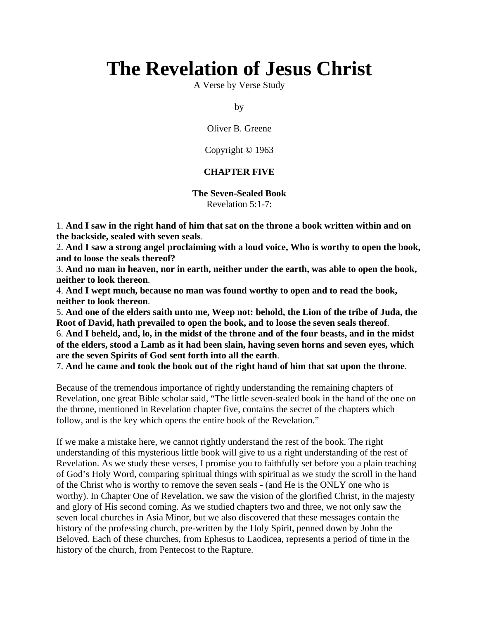# **The Revelation of Jesus Christ**

A Verse by Verse Study

by

Oliver B. Greene

Copyright © 1963

### **CHAPTER FIVE**

**The Seven-Sealed Book** Revelation 5:1-7:

1. **And I saw in the right hand of him that sat on the throne a book written within and on the backside, sealed with seven seals**.

2. **And I saw a strong angel proclaiming with a loud voice, Who is worthy to open the book, and to loose the seals thereof?**

3. **And no man in heaven, nor in earth, neither under the earth, was able to open the book, neither to look thereon**.

4. **And I wept much, because no man was found worthy to open and to read the book, neither to look thereon**.

5. **And one of the elders saith unto me, Weep not: behold, the Lion of the tribe of Juda, the Root of David, hath prevailed to open the book, and to loose the seven seals thereof**. 6. **And I beheld, and, lo, in the midst of the throne and of the four beasts, and in the midst of the elders, stood a Lamb as it had been slain, having seven horns and seven eyes, which are the seven Spirits of God sent forth into all the earth**.

7. **And he came and took the book out of the right hand of him that sat upon the throne**.

Because of the tremendous importance of rightly understanding the remaining chapters of Revelation, one great Bible scholar said, "The little seven-sealed book in the hand of the one on the throne, mentioned in Revelation chapter five, contains the secret of the chapters which follow, and is the key which opens the entire book of the Revelation."

If we make a mistake here, we cannot rightly understand the rest of the book. The right understanding of this mysterious little book will give to us a right understanding of the rest of Revelation. As we study these verses, I promise you to faithfully set before you a plain teaching of God's Holy Word, comparing spiritual things with spiritual as we study the scroll in the hand of the Christ who is worthy to remove the seven seals - (and He is the ONLY one who is worthy). In Chapter One of Revelation, we saw the vision of the glorified Christ, in the majesty and glory of His second coming. As we studied chapters two and three, we not only saw the seven local churches in Asia Minor, but we also discovered that these messages contain the history of the professing church, pre-written by the Holy Spirit, penned down by John the Beloved. Each of these churches, from Ephesus to Laodicea, represents a period of time in the history of the church, from Pentecost to the Rapture.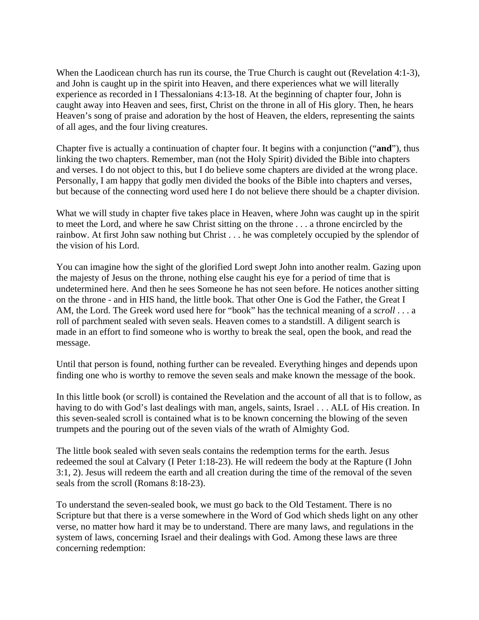When the Laodicean church has run its course, the True Church is caught out (Revelation 4:1-3), and John is caught up in the spirit into Heaven, and there experiences what we will literally experience as recorded in I Thessalonians 4:13-18. At the beginning of chapter four, John is caught away into Heaven and sees, first, Christ on the throne in all of His glory. Then, he hears Heaven's song of praise and adoration by the host of Heaven, the elders, representing the saints of all ages, and the four living creatures.

Chapter five is actually a continuation of chapter four. It begins with a conjunction ("**and**"), thus linking the two chapters. Remember, man (not the Holy Spirit) divided the Bible into chapters and verses. I do not object to this, but I do believe some chapters are divided at the wrong place. Personally, I am happy that godly men divided the books of the Bible into chapters and verses, but because of the connecting word used here I do not believe there should be a chapter division.

What we will study in chapter five takes place in Heaven, where John was caught up in the spirit to meet the Lord, and where he saw Christ sitting on the throne . . . a throne encircled by the rainbow. At first John saw nothing but Christ . . . he was completely occupied by the splendor of the vision of his Lord.

You can imagine how the sight of the glorified Lord swept John into another realm. Gazing upon the majesty of Jesus on the throne, nothing else caught his eye for a period of time that is undetermined here. And then he sees Someone he has not seen before. He notices another sitting on the throne - and in HIS hand, the little book. That other One is God the Father, the Great I AM, the Lord. The Greek word used here for "book" has the technical meaning of a *scroll* . . . a roll of parchment sealed with seven seals. Heaven comes to a standstill. A diligent search is made in an effort to find someone who is worthy to break the seal, open the book, and read the message.

Until that person is found, nothing further can be revealed. Everything hinges and depends upon finding one who is worthy to remove the seven seals and make known the message of the book.

In this little book (or scroll) is contained the Revelation and the account of all that is to follow, as having to do with God's last dealings with man, angels, saints, Israel . . . ALL of His creation. In this seven-sealed scroll is contained what is to be known concerning the blowing of the seven trumpets and the pouring out of the seven vials of the wrath of Almighty God.

The little book sealed with seven seals contains the redemption terms for the earth. Jesus redeemed the soul at Calvary (I Peter 1:18-23). He will redeem the body at the Rapture (I John 3:1, 2). Jesus will redeem the earth and all creation during the time of the removal of the seven seals from the scroll (Romans 8:18-23).

To understand the seven-sealed book, we must go back to the Old Testament. There is no Scripture but that there is a verse somewhere in the Word of God which sheds light on any other verse, no matter how hard it may be to understand. There are many laws, and regulations in the system of laws, concerning Israel and their dealings with God. Among these laws are three concerning redemption: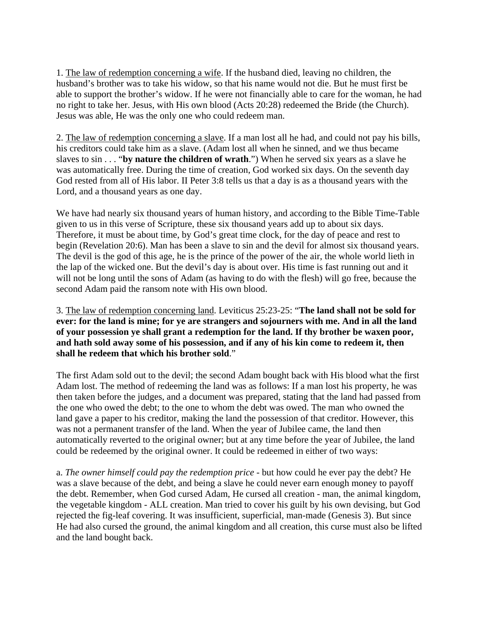1. The law of redemption concerning a wife. If the husband died, leaving no children, the husband's brother was to take his widow, so that his name would not die. But he must first be able to support the brother's widow. If he were not financially able to care for the woman, he had no right to take her. Jesus, with His own blood (Acts 20:28) redeemed the Bride (the Church). Jesus was able, He was the only one who could redeem man.

2. The law of redemption concerning a slave. If a man lost all he had, and could not pay his bills, his creditors could take him as a slave. (Adam lost all when he sinned, and we thus became slaves to sin . . . "**by nature the children of wrath**.") When he served six years as a slave he was automatically free. During the time of creation, God worked six days. On the seventh day God rested from all of His labor. II Peter 3:8 tells us that a day is as a thousand years with the Lord, and a thousand years as one day.

We have had nearly six thousand years of human history, and according to the Bible Time-Table given to us in this verse of Scripture, these six thousand years add up to about six days. Therefore, it must be about time, by God's great time clock, for the day of peace and rest to begin (Revelation 20:6). Man has been a slave to sin and the devil for almost six thousand years. The devil is the god of this age, he is the prince of the power of the air, the whole world lieth in the lap of the wicked one. But the devil's day is about over. His time is fast running out and it will not be long until the sons of Adam (as having to do with the flesh) will go free, because the second Adam paid the ransom note with His own blood.

3. The law of redemption concerning land. Leviticus 25:23-25: "**The land shall not be sold for ever: for the land is mine; for ye are strangers and sojourners with me. And in all the land of your possession ye shall grant a redemption for the land. If thy brother be waxen poor,**  and hath sold away some of his possession, and if any of his kin come to redeem it, then **shall he redeem that which his brother sold**."

The first Adam sold out to the devil; the second Adam bought back with His blood what the first Adam lost. The method of redeeming the land was as follows: If a man lost his property, he was then taken before the judges, and a document was prepared, stating that the land had passed from the one who owed the debt; to the one to whom the debt was owed. The man who owned the land gave a paper to his creditor, making the land the possession of that creditor. However, this was not a permanent transfer of the land. When the year of Jubilee came, the land then automatically reverted to the original owner; but at any time before the year of Jubilee, the land could be redeemed by the original owner. It could be redeemed in either of two ways:

a. *The owner himself could pay the redemption price* - but how could he ever pay the debt? He was a slave because of the debt, and being a slave he could never earn enough money to payoff the debt. Remember, when God cursed Adam, He cursed all creation - man, the animal kingdom, the vegetable kingdom - ALL creation. Man tried to cover his guilt by his own devising, but God rejected the fig-leaf covering. It was insufficient, superficial, man-made (Genesis 3). But since He had also cursed the ground, the animal kingdom and all creation, this curse must also be lifted and the land bought back.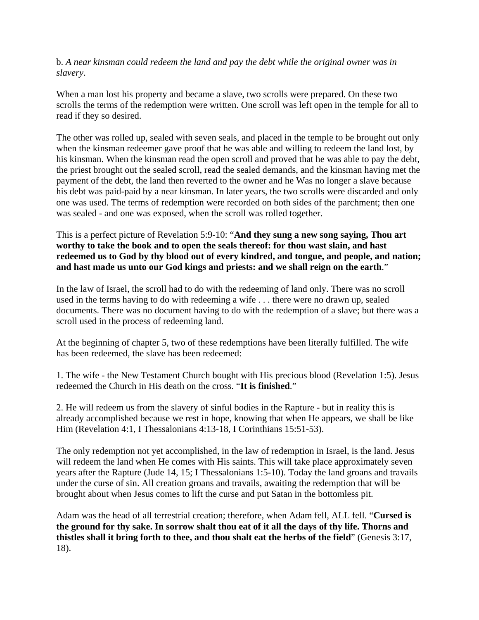b. *A near kinsman could redeem the land and pay the debt while the original owner was in slavery*.

When a man lost his property and became a slave, two scrolls were prepared. On these two scrolls the terms of the redemption were written. One scroll was left open in the temple for all to read if they so desired.

The other was rolled up, sealed with seven seals, and placed in the temple to be brought out only when the kinsman redeemer gave proof that he was able and willing to redeem the land lost, by his kinsman. When the kinsman read the open scroll and proved that he was able to pay the debt, the priest brought out the sealed scroll, read the sealed demands, and the kinsman having met the payment of the debt, the land then reverted to the owner and he Was no longer a slave because his debt was paid-paid by a near kinsman. In later years, the two scrolls were discarded and only one was used. The terms of redemption were recorded on both sides of the parchment; then one was sealed - and one was exposed, when the scroll was rolled together.

This is a perfect picture of Revelation 5:9-10: "**And they sung a new song saying, Thou art worthy to take the book and to open the seals thereof: for thou wast slain, and hast redeemed us to God by thy blood out of every kindred, and tongue, and people, and nation; and hast made us unto our God kings and priests: and we shall reign on the earth**."

In the law of Israel, the scroll had to do with the redeeming of land only. There was no scroll used in the terms having to do with redeeming a wife . . . there were no drawn up, sealed documents. There was no document having to do with the redemption of a slave; but there was a scroll used in the process of redeeming land.

At the beginning of chapter 5, two of these redemptions have been literally fulfilled. The wife has been redeemed, the slave has been redeemed:

1. The wife - the New Testament Church bought with His precious blood (Revelation 1:5). Jesus redeemed the Church in His death on the cross. "**It is finished**."

2. He will redeem us from the slavery of sinful bodies in the Rapture - but in reality this is already accomplished because we rest in hope, knowing that when He appears, we shall be like Him (Revelation 4:1, I Thessalonians 4:13-18, I Corinthians 15:51-53).

The only redemption not yet accomplished, in the law of redemption in Israel, is the land. Jesus will redeem the land when He comes with His saints. This will take place approximately seven years after the Rapture (Jude 14, 15; I Thessalonians 1:5-10). Today the land groans and travails under the curse of sin. All creation groans and travails, awaiting the redemption that will be brought about when Jesus comes to lift the curse and put Satan in the bottomless pit.

Adam was the head of all terrestrial creation; therefore, when Adam fell, ALL fell. "**Cursed is the ground for thy sake. In sorrow shalt thou eat of it all the days of thy life. Thorns and thistles shall it bring forth to thee, and thou shalt eat the herbs of the field**" (Genesis 3:17, 18).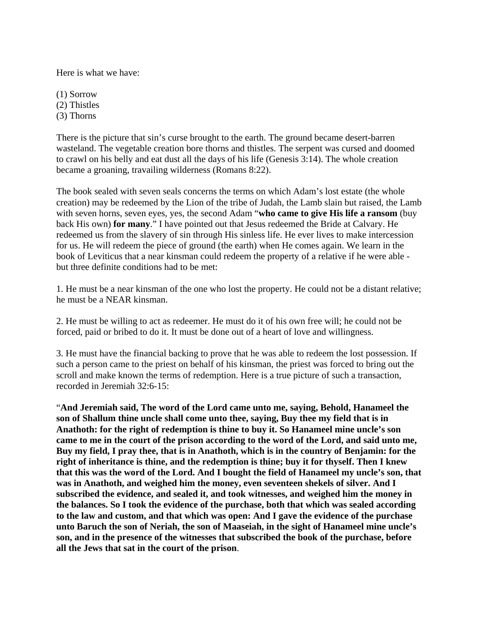Here is what we have:

(1) Sorrow (2) Thistles (3) Thorns

There is the picture that sin's curse brought to the earth. The ground became desert-barren wasteland. The vegetable creation bore thorns and thistles. The serpent was cursed and doomed to crawl on his belly and eat dust all the days of his life (Genesis 3:14). The whole creation became a groaning, travailing wilderness (Romans 8:22).

The book sealed with seven seals concerns the terms on which Adam's lost estate (the whole creation) may be redeemed by the Lion of the tribe of Judah, the Lamb slain but raised, the Lamb with seven horns, seven eyes, yes, the second Adam "**who came to give His life a ransom** (buy back His own) **for many**." I have pointed out that Jesus redeemed the Bride at Calvary. He redeemed us from the slavery of sin through His sinless life. He ever lives to make intercession for us. He will redeem the piece of ground (the earth) when He comes again. We learn in the book of Leviticus that a near kinsman could redeem the property of a relative if he were able but three definite conditions had to be met:

1. He must be a near kinsman of the one who lost the property. He could not be a distant relative; he must be a NEAR kinsman.

2. He must be willing to act as redeemer. He must do it of his own free will; he could not be forced, paid or bribed to do it. It must be done out of a heart of love and willingness.

3. He must have the financial backing to prove that he was able to redeem the lost possession. If such a person came to the priest on behalf of his kinsman, the priest was forced to bring out the scroll and make known the terms of redemption. Here is a true picture of such a transaction, recorded in Jeremiah 32:6-15:

"**And Jeremiah said, The word of the Lord came unto me, saying, Behold, Hanameel the son of Shallum thine uncle shall come unto thee, saying, Buy thee my field that is in Anathoth: for the right of redemption is thine to buy it. So Hanameel mine uncle's son came to me in the court of the prison according to the word of the Lord, and said unto me, Buy my field, I pray thee, that is in Anathoth, which is in the country of Benjamin: for the right of inheritance is thine, and the redemption is thine; buy it for thyself. Then I knew that this was the word of the Lord. And I bought the field of Hanameel my uncle's son, that was in Anathoth, and weighed him the money, even seventeen shekels of silver. And I subscribed the evidence, and sealed it, and took witnesses, and weighed him the money in the balances. So I took the evidence of the purchase, both that which was sealed according to the law and custom, and that which was open: And I gave the evidence of the purchase unto Baruch the son of Neriah, the son of Maaseiah, in the sight of Hanameel mine uncle's son, and in the presence of the witnesses that subscribed the book of the purchase, before all the Jews that sat in the court of the prison**.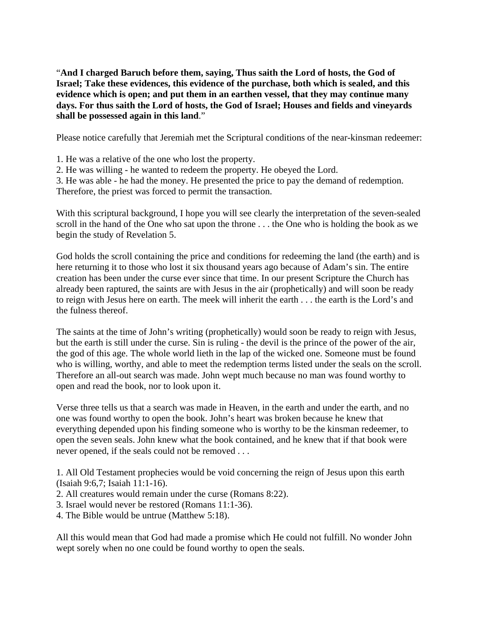"**And I charged Baruch before them, saying, Thus saith the Lord of hosts, the God of Israel; Take these evidences, this evidence of the purchase, both which is sealed, and this evidence which is open; and put them in an earthen vessel, that they may continue many days. For thus saith the Lord of hosts, the God of Israel; Houses and fields and vineyards shall be possessed again in this land**."

Please notice carefully that Jeremiah met the Scriptural conditions of the near-kinsman redeemer:

1. He was a relative of the one who lost the property.

- 2. He was willing he wanted to redeem the property. He obeyed the Lord.
- 3. He was able he had the money. He presented the price to pay the demand of redemption.

Therefore, the priest was forced to permit the transaction.

With this scriptural background, I hope you will see clearly the interpretation of the seven-sealed scroll in the hand of the One who sat upon the throne . . . the One who is holding the book as we begin the study of Revelation 5.

God holds the scroll containing the price and conditions for redeeming the land (the earth) and is here returning it to those who lost it six thousand years ago because of Adam's sin. The entire creation has been under the curse ever since that time. In our present Scripture the Church has already been raptured, the saints are with Jesus in the air (prophetically) and will soon be ready to reign with Jesus here on earth. The meek will inherit the earth . . . the earth is the Lord's and the fulness thereof.

The saints at the time of John's writing (prophetically) would soon be ready to reign with Jesus, but the earth is still under the curse. Sin is ruling - the devil is the prince of the power of the air, the god of this age. The whole world lieth in the lap of the wicked one. Someone must be found who is willing, worthy, and able to meet the redemption terms listed under the seals on the scroll. Therefore an all-out search was made. John wept much because no man was found worthy to open and read the book, nor to look upon it.

Verse three tells us that a search was made in Heaven, in the earth and under the earth, and no one was found worthy to open the book. John's heart was broken because he knew that everything depended upon his finding someone who is worthy to be the kinsman redeemer, to open the seven seals. John knew what the book contained, and he knew that if that book were never opened, if the seals could not be removed . . .

1. All Old Testament prophecies would be void concerning the reign of Jesus upon this earth (Isaiah 9:6,7; Isaiah 11:1-16).

- 2. All creatures would remain under the curse (Romans 8:22).
- 3. Israel would never be restored (Romans 11:1-36).
- 4. The Bible would be untrue (Matthew 5:18).

All this would mean that God had made a promise which He could not fulfill. No wonder John wept sorely when no one could be found worthy to open the seals.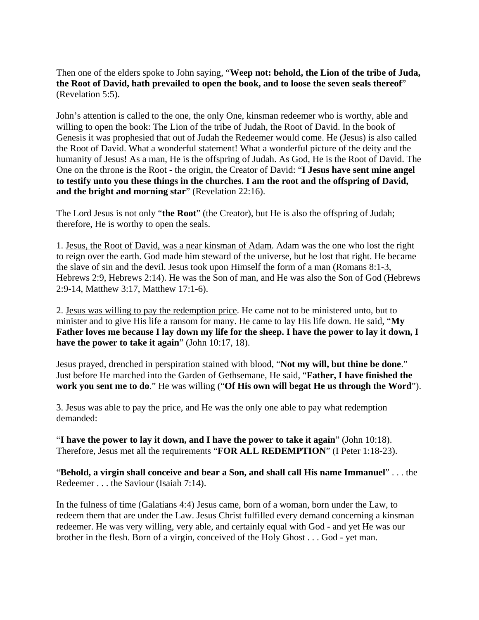Then one of the elders spoke to John saying, "**Weep not: behold, the Lion of the tribe of Juda, the Root of David, hath prevailed to open the book, and to loose the seven seals thereof**" (Revelation 5:5).

John's attention is called to the one, the only One, kinsman redeemer who is worthy, able and willing to open the book: The Lion of the tribe of Judah, the Root of David. In the book of Genesis it was prophesied that out of Judah the Redeemer would come. He (Jesus) is also called the Root of David. What a wonderful statement! What a wonderful picture of the deity and the humanity of Jesus! As a man, He is the offspring of Judah. As God, He is the Root of David. The One on the throne is the Root - the origin, the Creator of David: "**I Jesus have sent mine angel to testify unto you these things in the churches. I am the root and the offspring of David, and the bright and morning star**" (Revelation 22:16).

The Lord Jesus is not only "**the Root**" (the Creator), but He is also the offspring of Judah; therefore, He is worthy to open the seals.

1. Jesus, the Root of David, was a near kinsman of Adam. Adam was the one who lost the right to reign over the earth. God made him steward of the universe, but he lost that right. He became the slave of sin and the devil. Jesus took upon Himself the form of a man (Romans 8:1-3, Hebrews 2:9, Hebrews 2:14). He was the Son of man, and He was also the Son of God (Hebrews 2:9-14, Matthew 3:17, Matthew 17:1-6).

2. Jesus was willing to pay the redemption price. He came not to be ministered unto, but to minister and to give His life a ransom for many. He came to lay His life down. He said, "**My Father loves me because I lay down my life for the sheep. I have the power to lay it down, I have the power to take it again**" (John 10:17, 18).

Jesus prayed, drenched in perspiration stained with blood, "**Not my will, but thine be done**." Just before He marched into the Garden of Gethsemane, He said, "**Father, I have finished the work you sent me to do**." He was willing ("**Of His own will begat He us through the Word**").

3. Jesus was able to pay the price, and He was the only one able to pay what redemption demanded:

"**I have the power to lay it down, and I have the power to take it again**" (John 10:18). Therefore, Jesus met all the requirements "**FOR ALL REDEMPTION**" (I Peter 1:18-23).

"**Behold, a virgin shall conceive and bear a Son, and shall call His name Immanuel**" . . . the Redeemer . . . the Saviour (Isaiah 7:14).

In the fulness of time (Galatians 4:4) Jesus came, born of a woman, born under the Law, to redeem them that are under the Law. Jesus Christ fulfilled every demand concerning a kinsman redeemer. He was very willing, very able, and certainly equal with God - and yet He was our brother in the flesh. Born of a virgin, conceived of the Holy Ghost . . . God - yet man.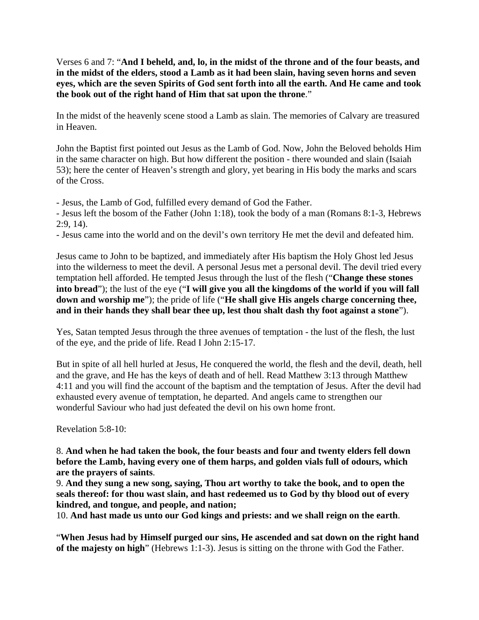Verses 6 and 7: "**And I beheld, and, lo, in the midst of the throne and of the four beasts, and in the midst of the elders, stood a Lamb as it had been slain, having seven horns and seven eyes, which are the seven Spirits of God sent forth into all the earth. And He came and took the book out of the right hand of Him that sat upon the throne**."

In the midst of the heavenly scene stood a Lamb as slain. The memories of Calvary are treasured in Heaven.

John the Baptist first pointed out Jesus as the Lamb of God. Now, John the Beloved beholds Him in the same character on high. But how different the position - there wounded and slain (Isaiah 53); here the center of Heaven's strength and glory, yet bearing in His body the marks and scars of the Cross.

- Jesus, the Lamb of God, fulfilled every demand of God the Father.

- Jesus left the bosom of the Father (John 1:18), took the body of a man (Romans 8:1-3, Hebrews 2:9, 14).

- Jesus came into the world and on the devil's own territory He met the devil and defeated him.

Jesus came to John to be baptized, and immediately after His baptism the Holy Ghost led Jesus into the wilderness to meet the devil. A personal Jesus met a personal devil. The devil tried every temptation hell afforded. He tempted Jesus through the lust of the flesh ("**Change these stones into bread**"); the lust of the eye ("**I will give you all the kingdoms of the world if you will fall down and worship me**"); the pride of life ("**He shall give His angels charge concerning thee, and in their hands they shall bear thee up, lest thou shalt dash thy foot against a stone**").

Yes, Satan tempted Jesus through the three avenues of temptation - the lust of the flesh, the lust of the eye, and the pride of life. Read I John 2:15-17.

But in spite of all hell hurled at Jesus, He conquered the world, the flesh and the devil, death, hell and the grave, and He has the keys of death and of hell. Read Matthew 3:13 through Matthew 4:11 and you will find the account of the baptism and the temptation of Jesus. After the devil had exhausted every avenue of temptation, he departed. And angels came to strengthen our wonderful Saviour who had just defeated the devil on his own home front.

Revelation 5:8-10:

8. **And when he had taken the book, the four beasts and four and twenty elders fell down before the Lamb, having every one of them harps, and golden vials full of odours, which are the prayers of saints**.

9. **And they sung a new song, saying, Thou art worthy to take the book, and to open the seals thereof: for thou wast slain, and hast redeemed us to God by thy blood out of every kindred, and tongue, and people, and nation;**

10. **And hast made us unto our God kings and priests: and we shall reign on the earth**.

"**When Jesus had by Himself purged our sins, He ascended and sat down on the right hand of the majesty on high**" (Hebrews 1:1-3). Jesus is sitting on the throne with God the Father.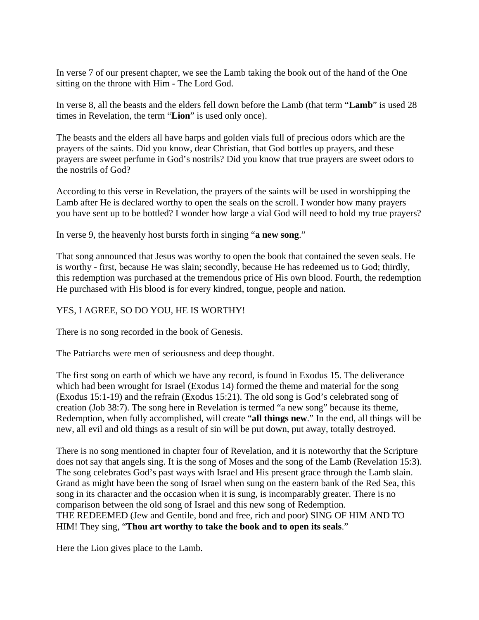In verse 7 of our present chapter, we see the Lamb taking the book out of the hand of the One sitting on the throne with Him - The Lord God.

In verse 8, all the beasts and the elders fell down before the Lamb (that term "**Lamb**" is used 28 times in Revelation, the term "**Lion**" is used only once).

The beasts and the elders all have harps and golden vials full of precious odors which are the prayers of the saints. Did you know, dear Christian, that God bottles up prayers, and these prayers are sweet perfume in God's nostrils? Did you know that true prayers are sweet odors to the nostrils of God?

According to this verse in Revelation, the prayers of the saints will be used in worshipping the Lamb after He is declared worthy to open the seals on the scroll. I wonder how many prayers you have sent up to be bottled? I wonder how large a vial God will need to hold my true prayers?

In verse 9, the heavenly host bursts forth in singing "**a new song**."

That song announced that Jesus was worthy to open the book that contained the seven seals. He is worthy - first, because He was slain; secondly, because He has redeemed us to God; thirdly, this redemption was purchased at the tremendous price of His own blood. Fourth, the redemption He purchased with His blood is for every kindred, tongue, people and nation.

# YES, I AGREE, SO DO YOU, HE IS WORTHY!

There is no song recorded in the book of Genesis.

The Patriarchs were men of seriousness and deep thought.

The first song on earth of which we have any record, is found in Exodus 15. The deliverance which had been wrought for Israel (Exodus 14) formed the theme and material for the song (Exodus 15:1-19) and the refrain (Exodus 15:21). The old song is God's celebrated song of creation (Job 38:7). The song here in Revelation is termed "a new song" because its theme, Redemption, when fully accomplished, will create "**all things new**." In the end, all things will be new, all evil and old things as a result of sin will be put down, put away, totally destroyed.

There is no song mentioned in chapter four of Revelation, and it is noteworthy that the Scripture does not say that angels sing. It is the song of Moses and the song of the Lamb (Revelation 15:3). The song celebrates God's past ways with Israel and His present grace through the Lamb slain. Grand as might have been the song of Israel when sung on the eastern bank of the Red Sea, this song in its character and the occasion when it is sung, is incomparably greater. There is no comparison between the old song of Israel and this new song of Redemption. THE REDEEMED (Jew and Gentile, bond and free, rich and poor) SING OF HIM AND TO HIM! They sing, "**Thou art worthy to take the book and to open its seals**."

Here the Lion gives place to the Lamb.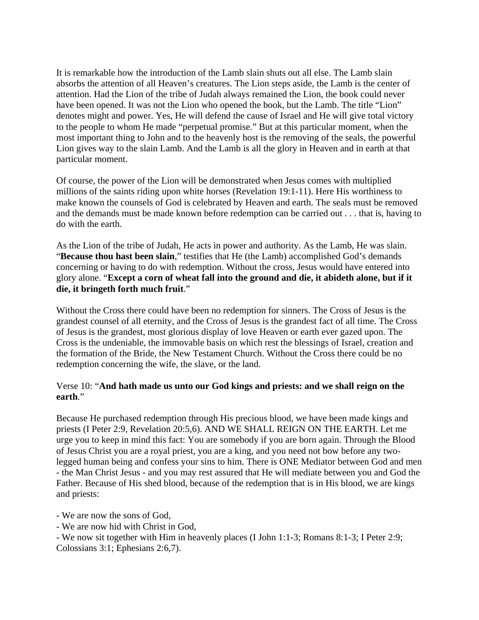It is remarkable how the introduction of the Lamb slain shuts out all else. The Lamb slain absorbs the attention of all Heaven's creatures. The Lion steps aside, the Lamb is the center of attention. Had the Lion of the tribe of Judah always remained the Lion, the book could never have been opened. It was not the Lion who opened the book, but the Lamb. The title "Lion" denotes might and power. Yes, He will defend the cause of Israel and He will give total victory to the people to whom He made "perpetual promise." But at this particular moment, when the most important thing to John and to the heavenly host is the removing of the seals, the powerful Lion gives way to the slain Lamb. And the Lamb is all the glory in Heaven and in earth at that particular moment.

Of course, the power of the Lion will be demonstrated when Jesus comes with multiplied millions of the saints riding upon white horses (Revelation 19:1-11). Here His worthiness to make known the counsels of God is celebrated by Heaven and earth. The seals must be removed and the demands must be made known before redemption can be carried out . . . that is, having to do with the earth.

As the Lion of the tribe of Judah, He acts in power and authority. As the Lamb, He was slain. "**Because thou hast been slain**," testifies that He (the Lamb) accomplished God's demands concerning or having to do with redemption. Without the cross, Jesus would have entered into glory alone. "**Except a corn of wheat fall into the ground and die, it abideth alone, but if it die, it bringeth forth much fruit**."

Without the Cross there could have been no redemption for sinners. The Cross of Jesus is the grandest counsel of all eternity, and the Cross of Jesus is the grandest fact of all time. The Cross of Jesus is the grandest, most glorious display of love Heaven or earth ever gazed upon. The Cross is the undeniable, the immovable basis on which rest the blessings of Israel, creation and the formation of the Bride, the New Testament Church. Without the Cross there could be no redemption concerning the wife, the slave, or the land.

## Verse 10: "**And hath made us unto our God kings and priests: and we shall reign on the earth**."

Because He purchased redemption through His precious blood, we have been made kings and priests (I Peter 2:9, Revelation 20:5,6). AND WE SHALL REIGN ON THE EARTH. Let me urge you to keep in mind this fact: You are somebody if you are born again. Through the Blood of Jesus Christ you are a royal priest, you are a king, and you need not bow before any twolegged human being and confess your sins to him. There is ONE Mediator between God and men - the Man Christ Jesus - and you may rest assured that He will mediate between you and God the Father. Because of His shed blood, because of the redemption that is in His blood, we are kings and priests:

- We are now the sons of God,

- We are now hid with Christ in God,

- We now sit together with Him in heavenly places (I John 1:1-3; Romans 8:1-3; I Peter 2:9; Colossians 3:1; Ephesians 2:6,7).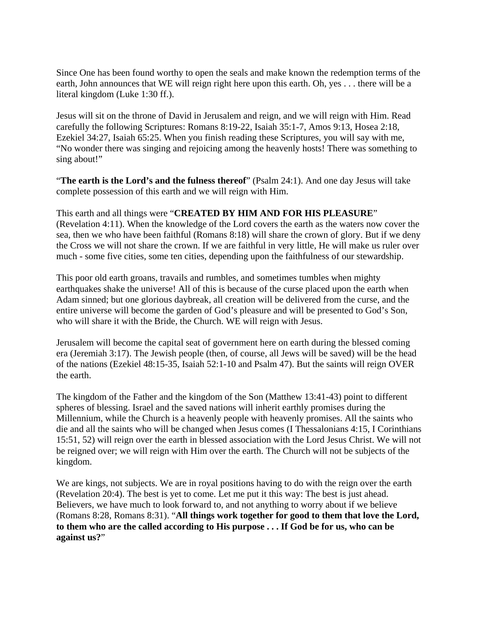Since One has been found worthy to open the seals and make known the redemption terms of the earth, John announces that WE will reign right here upon this earth. Oh, yes . . . there will be a literal kingdom (Luke 1:30 ff.).

Jesus will sit on the throne of David in Jerusalem and reign, and we will reign with Him. Read carefully the following Scriptures: Romans 8:19-22, Isaiah 35:1-7, Amos 9:13, Hosea 2:18, Ezekiel 34:27, Isaiah 65:25. When you finish reading these Scriptures, you will say with me, "No wonder there was singing and rejoicing among the heavenly hosts! There was something to sing about!"

"**The earth is the Lord's and the fulness thereof**" (Psalm 24:1). And one day Jesus will take complete possession of this earth and we will reign with Him.

This earth and all things were "**CREATED BY HIM AND FOR HIS PLEASURE**" (Revelation 4:11). When the knowledge of the Lord covers the earth as the waters now cover the sea, then we who have been faithful (Romans 8:18) will share the crown of glory. But if we deny the Cross we will not share the crown. If we are faithful in very little, He will make us ruler over much - some five cities, some ten cities, depending upon the faithfulness of our stewardship.

This poor old earth groans, travails and rumbles, and sometimes tumbles when mighty earthquakes shake the universe! All of this is because of the curse placed upon the earth when Adam sinned; but one glorious daybreak, all creation will be delivered from the curse, and the entire universe will become the garden of God's pleasure and will be presented to God's Son, who will share it with the Bride, the Church. WE will reign with Jesus.

Jerusalem will become the capital seat of government here on earth during the blessed coming era (Jeremiah 3:17). The Jewish people (then, of course, all Jews will be saved) will be the head of the nations (Ezekiel 48:15-35, Isaiah 52:1-10 and Psalm 47). But the saints will reign OVER the earth.

The kingdom of the Father and the kingdom of the Son (Matthew 13:41-43) point to different spheres of blessing. Israel and the saved nations will inherit earthly promises during the Millennium, while the Church is a heavenly people with heavenly promises. All the saints who die and all the saints who will be changed when Jesus comes (I Thessalonians 4:15, I Corinthians 15:51, 52) will reign over the earth in blessed association with the Lord Jesus Christ. We will not be reigned over; we will reign with Him over the earth. The Church will not be subjects of the kingdom.

We are kings, not subjects. We are in royal positions having to do with the reign over the earth (Revelation 20:4). The best is yet to come. Let me put it this way: The best is just ahead. Believers, we have much to look forward to, and not anything to worry about if we believe (Romans 8:28, Romans 8:31). "**All things work together for good to them that love the Lord, to them who are the called according to His purpose . . . If God be for us, who can be against us?**"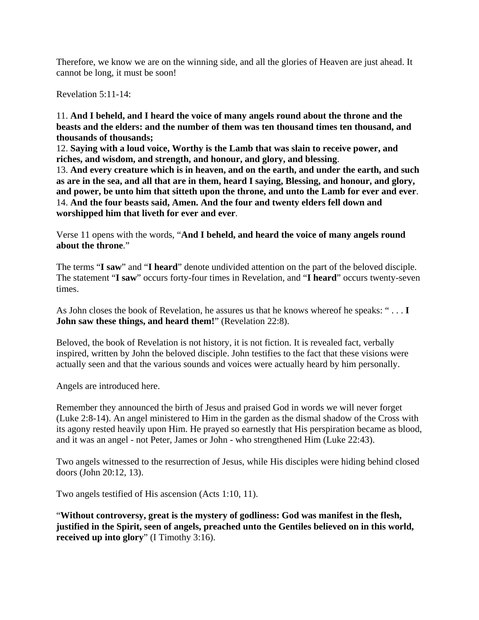Therefore, we know we are on the winning side, and all the glories of Heaven are just ahead. It cannot be long, it must be soon!

Revelation 5:11-14:

11. **And I beheld, and I heard the voice of many angels round about the throne and the beasts and the elders: and the number of them was ten thousand times ten thousand, and thousands of thousands;**

12. **Saying with a loud voice, Worthy is the Lamb that was slain to receive power, and riches, and wisdom, and strength, and honour, and glory, and blessing**.

13. **And every creature which is in heaven, and on the earth, and under the earth, and such as are in the sea, and all that are in them, heard I saying, Blessing, and honour, and glory, and power, be unto him that sitteth upon the throne, and unto the Lamb for ever and ever**. 14. **And the four beasts said, Amen. And the four and twenty elders fell down and worshipped him that liveth for ever and ever**.

Verse 11 opens with the words, "**And I beheld, and heard the voice of many angels round about the throne**."

The terms "**I saw**" and "**I heard**" denote undivided attention on the part of the beloved disciple. The statement "**I saw**" occurs forty-four times in Revelation, and "**I heard**" occurs twenty-seven times.

As John closes the book of Revelation, he assures us that he knows whereof he speaks: " . . . **I John saw these things, and heard them!**" (Revelation 22:8).

Beloved, the book of Revelation is not history, it is not fiction. It is revealed fact, verbally inspired, written by John the beloved disciple. John testifies to the fact that these visions were actually seen and that the various sounds and voices were actually heard by him personally.

Angels are introduced here.

Remember they announced the birth of Jesus and praised God in words we will never forget (Luke 2:8-14). An angel ministered to Him in the garden as the dismal shadow of the Cross with its agony rested heavily upon Him. He prayed so earnestly that His perspiration became as blood, and it was an angel - not Peter, James or John - who strengthened Him (Luke 22:43).

Two angels witnessed to the resurrection of Jesus, while His disciples were hiding behind closed doors (John 20:12, 13).

Two angels testified of His ascension (Acts 1:10, 11).

"**Without controversy, great is the mystery of godliness: God was manifest in the flesh, justified in the Spirit, seen of angels, preached unto the Gentiles believed on in this world, received up into glory**" (I Timothy 3:16).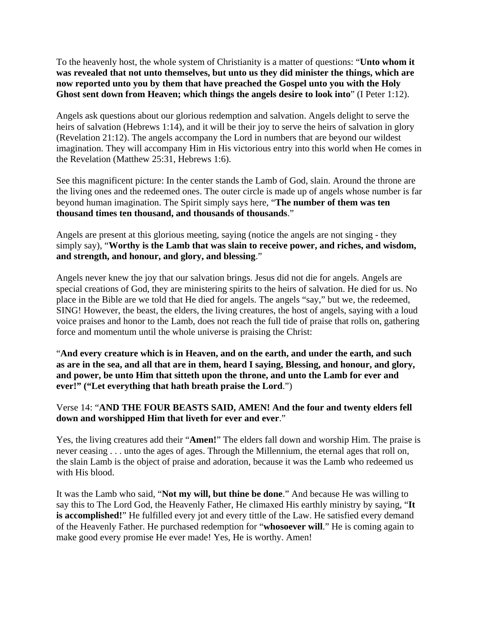To the heavenly host, the whole system of Christianity is a matter of questions: "**Unto whom it was revealed that not unto themselves, but unto us they did minister the things, which are now reported unto you by them that have preached the Gospel unto you with the Holy Ghost sent down from Heaven; which things the angels desire to look into**" (I Peter 1:12).

Angels ask questions about our glorious redemption and salvation. Angels delight to serve the heirs of salvation (Hebrews 1:14), and it will be their joy to serve the heirs of salvation in glory (Revelation 21:12). The angels accompany the Lord in numbers that are beyond our wildest imagination. They will accompany Him in His victorious entry into this world when He comes in the Revelation (Matthew 25:31, Hebrews 1:6).

See this magnificent picture: In the center stands the Lamb of God, slain. Around the throne are the living ones and the redeemed ones. The outer circle is made up of angels whose number is far beyond human imagination. The Spirit simply says here, "**The number of them was ten thousand times ten thousand, and thousands of thousands**."

Angels are present at this glorious meeting, saying (notice the angels are not singing - they simply say), "**Worthy is the Lamb that was slain to receive power, and riches, and wisdom, and strength, and honour, and glory, and blessing**."

Angels never knew the joy that our salvation brings. Jesus did not die for angels. Angels are special creations of God, they are ministering spirits to the heirs of salvation. He died for us. No place in the Bible are we told that He died for angels. The angels "say," but we, the redeemed, SING! However, the beast, the elders, the living creatures, the host of angels, saying with a loud voice praises and honor to the Lamb, does not reach the full tide of praise that rolls on, gathering force and momentum until the whole universe is praising the Christ:

"**And every creature which is in Heaven, and on the earth, and under the earth, and such as are in the sea, and all that are in them, heard I saying, Blessing, and honour, and glory, and power, be unto Him that sitteth upon the throne, and unto the Lamb for ever and ever!" ("Let everything that hath breath praise the Lord**.")

## Verse 14: "**AND THE FOUR BEASTS SAID, AMEN! And the four and twenty elders fell down and worshipped Him that liveth for ever and ever**."

Yes, the living creatures add their "**Amen!**" The elders fall down and worship Him. The praise is never ceasing . . . unto the ages of ages. Through the Millennium, the eternal ages that roll on, the slain Lamb is the object of praise and adoration, because it was the Lamb who redeemed us with His blood.

It was the Lamb who said, "**Not my will, but thine be done**." And because He was willing to say this to The Lord God, the Heavenly Father, He climaxed His earthly ministry by saying, "**It is accomplished!**" He fulfilled every jot and every tittle of the Law. He satisfied every demand of the Heavenly Father. He purchased redemption for "**whosoever will**." He is coming again to make good every promise He ever made! Yes, He is worthy. Amen!